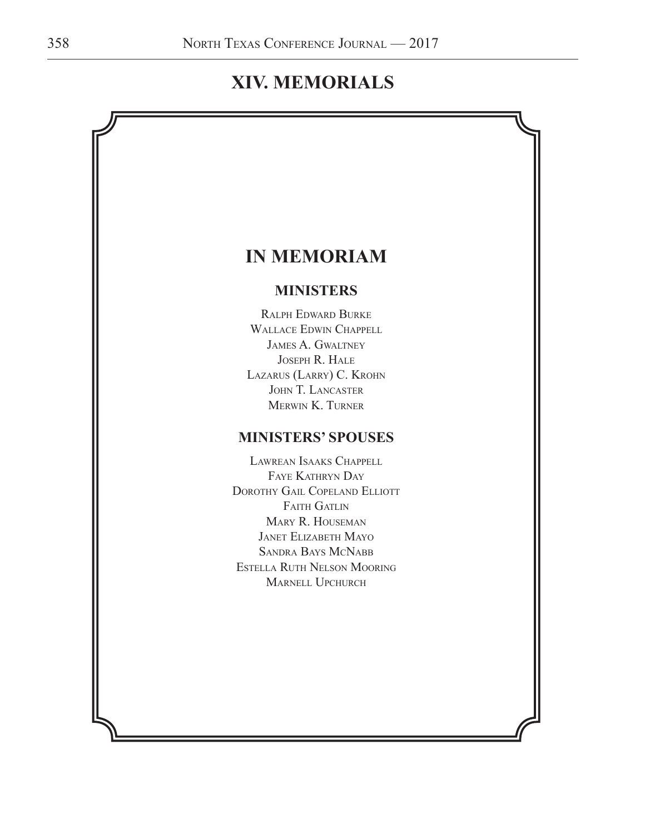# **XIV. MEMORIALS**

# **IN MEMORIAM MINISTERS** Ralph Edward Burke Wallace Edwin Chappell James A. Gwaltney Joseph R. Hale Lazarus (Larry) C. Krohn JOHN T. LANCASTER Merwin K. Turner **MINISTERS' SPOUSES** Lawrean Isaaks Chappell Faye Kathryn Day DOROTHY GAIL COPELAND ELLIOTT FAITH GATLIN Mary R. Houseman Janet Elizabeth Mayo Sandra Bays McNabb Estella Ruth Nelson Mooring Marnell Upchurch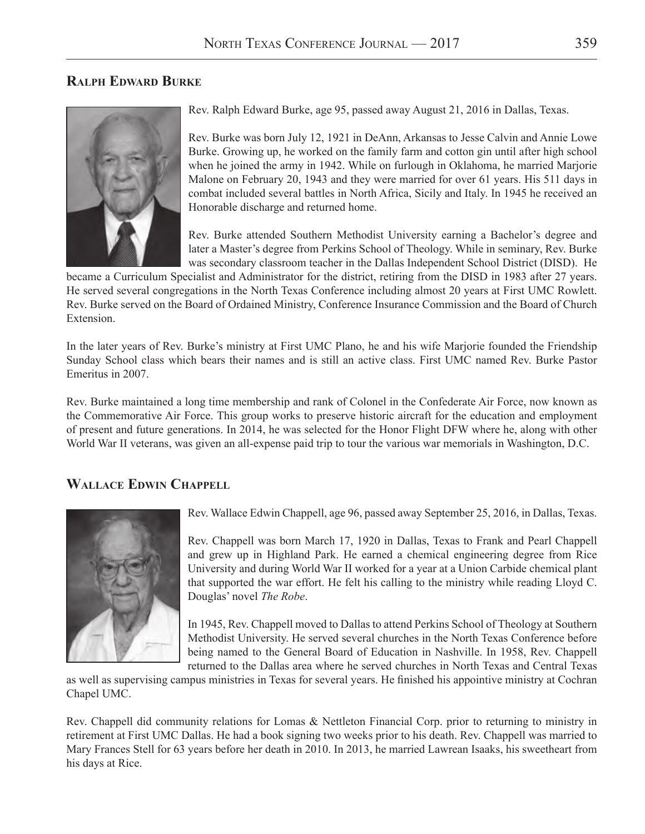#### **Ralph Edward Burke**



Rev. Ralph Edward Burke, age 95, passed away August 21, 2016 in Dallas, Texas.

Rev. Burke was born July 12, 1921 in DeAnn, Arkansas to Jesse Calvin and Annie Lowe Burke. Growing up, he worked on the family farm and cotton gin until after high school when he joined the army in 1942. While on furlough in Oklahoma, he married Marjorie Malone on February 20, 1943 and they were married for over 61 years. His 511 days in combat included several battles in North Africa, Sicily and Italy. In 1945 he received an Honorable discharge and returned home.

Rev. Burke attended Southern Methodist University earning a Bachelor's degree and later a Master's degree from Perkins School of Theology. While in seminary, Rev. Burke was secondary classroom teacher in the Dallas Independent School District (DISD). He

became a Curriculum Specialist and Administrator for the district, retiring from the DISD in 1983 after 27 years. He served several congregations in the North Texas Conference including almost 20 years at First UMC Rowlett. Rev. Burke served on the Board of Ordained Ministry, Conference Insurance Commission and the Board of Church Extension.

In the later years of Rev. Burke's ministry at First UMC Plano, he and his wife Marjorie founded the Friendship Sunday School class which bears their names and is still an active class. First UMC named Rev. Burke Pastor Emeritus in 2007.

Rev. Burke maintained a long time membership and rank of Colonel in the Confederate Air Force, now known as the Commemorative Air Force. This group works to preserve historic aircraft for the education and employment of present and future generations. In 2014, he was selected for the Honor Flight DFW where he, along with other World War II veterans, was given an all-expense paid trip to tour the various war memorials in Washington, D.C.

#### **Wallace Edwin Chappell**



Rev. Wallace Edwin Chappell, age 96, passed away September 25, 2016, in Dallas, Texas.

Rev. Chappell was born March 17, 1920 in Dallas, Texas to Frank and Pearl Chappell and grew up in Highland Park. He earned a chemical engineering degree from Rice University and during World War II worked for a year at a Union Carbide chemical plant that supported the war effort. He felt his calling to the ministry while reading Lloyd C. Douglas' novel *The Robe*.

In 1945, Rev. Chappell moved to Dallas to attend Perkins School of Theology at Southern Methodist University. He served several churches in the North Texas Conference before being named to the General Board of Education in Nashville. In 1958, Rev. Chappell returned to the Dallas area where he served churches in North Texas and Central Texas

as well as supervising campus ministries in Texas for several years. He finished his appointive ministry at Cochran Chapel UMC.

Rev. Chappell did community relations for Lomas & Nettleton Financial Corp. prior to returning to ministry in retirement at First UMC Dallas. He had a book signing two weeks prior to his death. Rev. Chappell was married to Mary Frances Stell for 63 years before her death in 2010. In 2013, he married Lawrean Isaaks, his sweetheart from his days at Rice.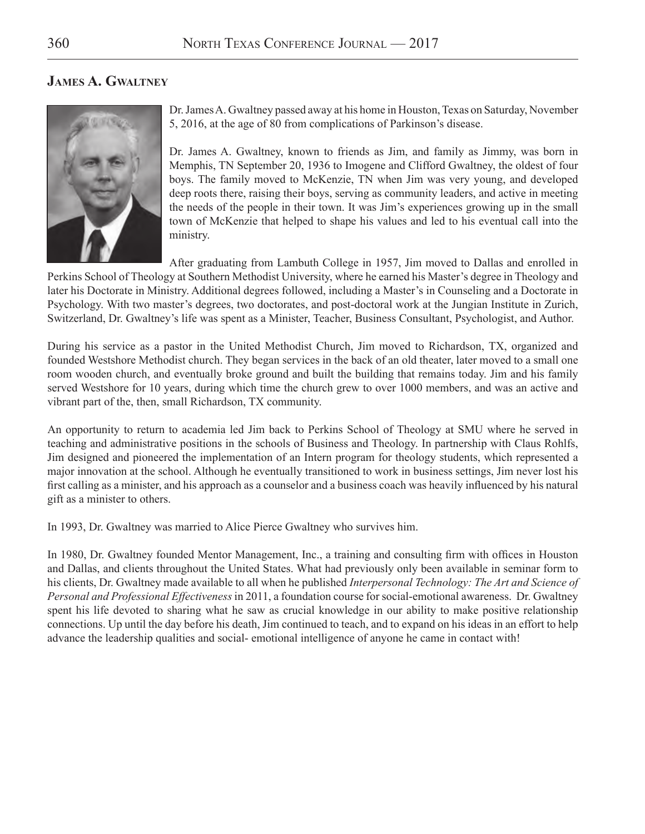#### **James A. Gwaltney**



Dr. James A. Gwaltney passed away at his home in Houston, Texas on Saturday, November 5, 2016, at the age of 80 from complications of Parkinson's disease.

Dr. James A. Gwaltney, known to friends as Jim, and family as Jimmy, was born in Memphis, TN September 20, 1936 to Imogene and Clifford Gwaltney, the oldest of four boys. The family moved to McKenzie, TN when Jim was very young, and developed deep roots there, raising their boys, serving as community leaders, and active in meeting the needs of the people in their town. It was Jim's experiences growing up in the small town of McKenzie that helped to shape his values and led to his eventual call into the ministry.

After graduating from Lambuth College in 1957, Jim moved to Dallas and enrolled in Perkins School of Theology at Southern Methodist University, where he earned his Master's degree in Theology and later his Doctorate in Ministry. Additional degrees followed, including a Master's in Counseling and a Doctorate in Psychology. With two master's degrees, two doctorates, and post-doctoral work at the Jungian Institute in Zurich, Switzerland, Dr. Gwaltney's life was spent as a Minister, Teacher, Business Consultant, Psychologist, and Author.

During his service as a pastor in the United Methodist Church, Jim moved to Richardson, TX, organized and founded Westshore Methodist church. They began services in the back of an old theater, later moved to a small one room wooden church, and eventually broke ground and built the building that remains today. Jim and his family served Westshore for 10 years, during which time the church grew to over 1000 members, and was an active and vibrant part of the, then, small Richardson, TX community.

An opportunity to return to academia led Jim back to Perkins School of Theology at SMU where he served in teaching and administrative positions in the schools of Business and Theology. In partnership with Claus Rohlfs, Jim designed and pioneered the implementation of an Intern program for theology students, which represented a major innovation at the school. Although he eventually transitioned to work in business settings, Jim never lost his first calling as a minister, and his approach as a counselor and a business coach was heavily influenced by his natural gift as a minister to others.

In 1993, Dr. Gwaltney was married to Alice Pierce Gwaltney who survives him.

In 1980, Dr. Gwaltney founded Mentor Management, Inc., a training and consulting firm with offices in Houston and Dallas, and clients throughout the United States. What had previously only been available in seminar form to his clients, Dr. Gwaltney made available to all when he published *Interpersonal Technology: The Art and Science of Personal and Professional Effectiveness* in 2011, a foundation course for social-emotional awareness. Dr. Gwaltney spent his life devoted to sharing what he saw as crucial knowledge in our ability to make positive relationship connections. Up until the day before his death, Jim continued to teach, and to expand on his ideas in an effort to help advance the leadership qualities and social- emotional intelligence of anyone he came in contact with!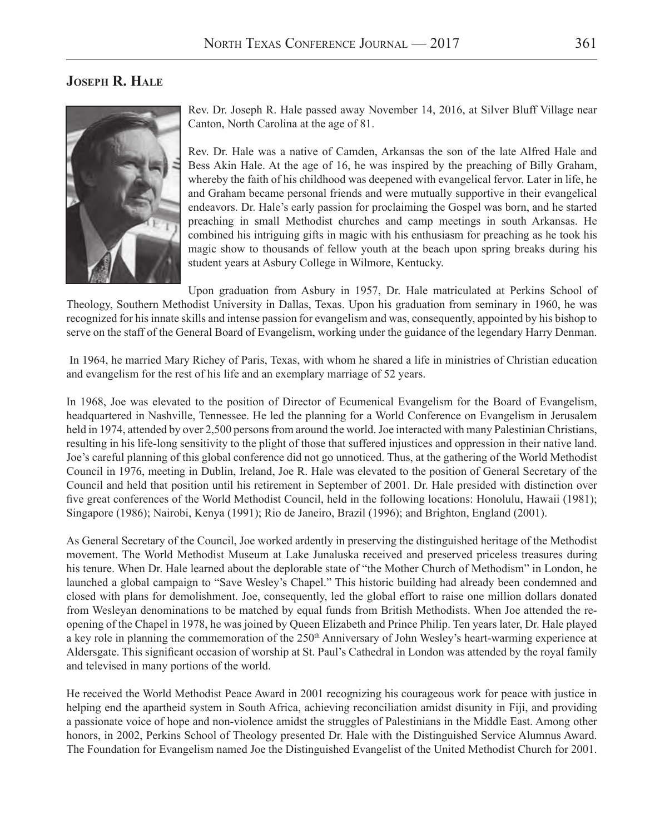#### **Joseph R. Hale**



Rev. Dr. Joseph R. Hale passed away November 14, 2016, at Silver Bluff Village near Canton, North Carolina at the age of 81.

Rev. Dr. Hale was a native of Camden, Arkansas the son of the late Alfred Hale and Bess Akin Hale. At the age of 16, he was inspired by the preaching of Billy Graham, whereby the faith of his childhood was deepened with evangelical fervor. Later in life, he and Graham became personal friends and were mutually supportive in their evangelical endeavors. Dr. Hale's early passion for proclaiming the Gospel was born, and he started preaching in small Methodist churches and camp meetings in south Arkansas. He combined his intriguing gifts in magic with his enthusiasm for preaching as he took his magic show to thousands of fellow youth at the beach upon spring breaks during his student years at Asbury College in Wilmore, Kentucky.

Upon graduation from Asbury in 1957, Dr. Hale matriculated at Perkins School of Theology, Southern Methodist University in Dallas, Texas. Upon his graduation from seminary in 1960, he was recognized for his innate skills and intense passion for evangelism and was, consequently, appointed by his bishop to serve on the staff of the General Board of Evangelism, working under the guidance of the legendary Harry Denman.

 In 1964, he married Mary Richey of Paris, Texas, with whom he shared a life in ministries of Christian education and evangelism for the rest of his life and an exemplary marriage of 52 years.

In 1968, Joe was elevated to the position of Director of Ecumenical Evangelism for the Board of Evangelism, headquartered in Nashville, Tennessee. He led the planning for a World Conference on Evangelism in Jerusalem held in 1974, attended by over 2,500 persons from around the world. Joe interacted with many Palestinian Christians, resulting in his life-long sensitivity to the plight of those that suffered injustices and oppression in their native land. Joe's careful planning of this global conference did not go unnoticed. Thus, at the gathering of the World Methodist Council in 1976, meeting in Dublin, Ireland, Joe R. Hale was elevated to the position of General Secretary of the Council and held that position until his retirement in September of 2001. Dr. Hale presided with distinction over five great conferences of the World Methodist Council, held in the following locations: Honolulu, Hawaii (1981); Singapore (1986); Nairobi, Kenya (1991); Rio de Janeiro, Brazil (1996); and Brighton, England (2001).

As General Secretary of the Council, Joe worked ardently in preserving the distinguished heritage of the Methodist movement. The World Methodist Museum at Lake Junaluska received and preserved priceless treasures during his tenure. When Dr. Hale learned about the deplorable state of "the Mother Church of Methodism" in London, he launched a global campaign to "Save Wesley's Chapel." This historic building had already been condemned and closed with plans for demolishment. Joe, consequently, led the global effort to raise one million dollars donated from Wesleyan denominations to be matched by equal funds from British Methodists. When Joe attended the reopening of the Chapel in 1978, he was joined by Queen Elizabeth and Prince Philip. Ten years later, Dr. Hale played a key role in planning the commemoration of the 250<sup>th</sup> Anniversary of John Wesley's heart-warming experience at Aldersgate. This significant occasion of worship at St. Paul's Cathedral in London was attended by the royal family and televised in many portions of the world.

He received the World Methodist Peace Award in 2001 recognizing his courageous work for peace with justice in helping end the apartheid system in South Africa, achieving reconciliation amidst disunity in Fiji, and providing a passionate voice of hope and non-violence amidst the struggles of Palestinians in the Middle East. Among other honors, in 2002, Perkins School of Theology presented Dr. Hale with the Distinguished Service Alumnus Award. The Foundation for Evangelism named Joe the Distinguished Evangelist of the United Methodist Church for 2001.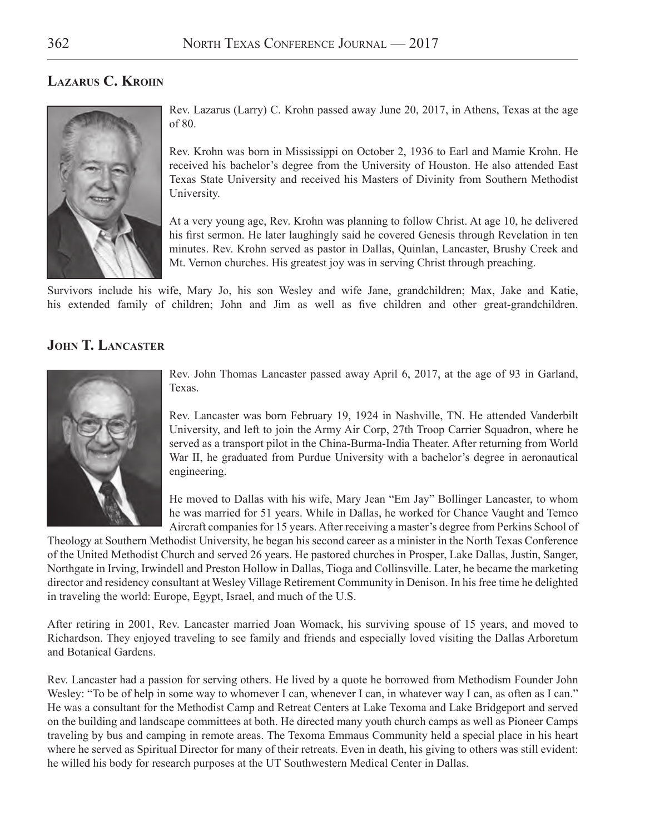#### **Lazarus C. Krohn**



Rev. Lazarus (Larry) C. Krohn passed away June 20, 2017, in Athens, Texas at the age of 80.

Rev. Krohn was born in Mississippi on October 2, 1936 to Earl and Mamie Krohn. He received his bachelor's degree from the University of Houston. He also attended East Texas State University and received his Masters of Divinity from Southern Methodist University.

At a very young age, Rev. Krohn was planning to follow Christ. At age 10, he delivered his first sermon. He later laughingly said he covered Genesis through Revelation in ten minutes. Rev. Krohn served as pastor in Dallas, Quinlan, Lancaster, Brushy Creek and Mt. Vernon churches. His greatest joy was in serving Christ through preaching.

Survivors include his wife, Mary Jo, his son Wesley and wife Jane, grandchildren; Max, Jake and Katie, his extended family of children; John and Jim as well as five children and other great-grandchildren.

#### **John T. Lancaster**



Rev. John Thomas Lancaster passed away April 6, 2017, at the age of 93 in Garland, Texas.

Rev. Lancaster was born February 19, 1924 in Nashville, TN. He attended Vanderbilt University, and left to join the Army Air Corp, 27th Troop Carrier Squadron, where he served as a transport pilot in the China-Burma-India Theater. After returning from World War II, he graduated from Purdue University with a bachelor's degree in aeronautical engineering.

He moved to Dallas with his wife, Mary Jean "Em Jay" Bollinger Lancaster, to whom he was married for 51 years. While in Dallas, he worked for Chance Vaught and Temco Aircraft companies for 15 years. After receiving a master's degree from Perkins School of

Theology at Southern Methodist University, he began his second career as a minister in the North Texas Conference of the United Methodist Church and served 26 years. He pastored churches in Prosper, Lake Dallas, Justin, Sanger, Northgate in Irving, Irwindell and Preston Hollow in Dallas, Tioga and Collinsville. Later, he became the marketing director and residency consultant at Wesley Village Retirement Community in Denison. In his free time he delighted in traveling the world: Europe, Egypt, Israel, and much of the U.S.

After retiring in 2001, Rev. Lancaster married Joan Womack, his surviving spouse of 15 years, and moved to Richardson. They enjoyed traveling to see family and friends and especially loved visiting the Dallas Arboretum and Botanical Gardens.

Rev. Lancaster had a passion for serving others. He lived by a quote he borrowed from Methodism Founder John Wesley: "To be of help in some way to whomever I can, whenever I can, in whatever way I can, as often as I can." He was a consultant for the Methodist Camp and Retreat Centers at Lake Texoma and Lake Bridgeport and served on the building and landscape committees at both. He directed many youth church camps as well as Pioneer Camps traveling by bus and camping in remote areas. The Texoma Emmaus Community held a special place in his heart where he served as Spiritual Director for many of their retreats. Even in death, his giving to others was still evident: he willed his body for research purposes at the UT Southwestern Medical Center in Dallas.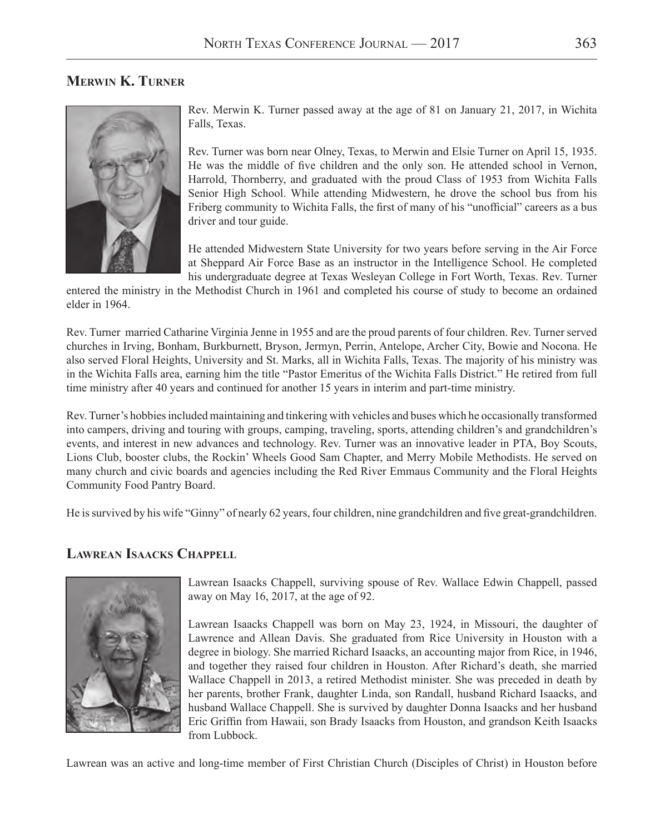#### **Merwin K. Turner**



Rev. Merwin K. Turner passed away at the age of 81 on January 21, 2017, in Wichita Falls, Texas.

Rev. Turner was born near Olney, Texas, to Merwin and Elsie Turner on April 15, 1935. He was the middle of five children and the only son. He attended school in Vernon, Harrold, Thornberry, and graduated with the proud Class of 1953 from Wichita Falls Senior High School. While attending Midwestern, he drove the school bus from his Friberg community to Wichita Falls, the first of many of his "unofficial" careers as a bus driver and tour guide.

He attended Midwestern State University for two years before serving in the Air Force at Sheppard Air Force Base as an instructor in the Intelligence School. He completed his undergraduate degree at Texas Wesleyan College in Fort Worth, Texas. Rev. Turner

entered the ministry in the Methodist Church in 1961 and completed his course of study to become an ordained elder in 1964.

Rev. Turner married Catharine Virginia Jenne in 1955 and are the proud parents of four children. Rev. Turner served churches in Irving, Bonham, Burkburnett, Bryson, Jermyn, Perrin, Antelope, Archer City, Bowie and Nocona. He also served Floral Heights, University and St. Marks, all in Wichita Falls, Texas. The majority of his ministry was in the Wichita Falls area, earning him the title "Pastor Emeritus of the Wichita Falls District." He retired from full time ministry after 40 years and continued for another 15 years in interim and part-time ministry.

Rev. Turner's hobbies included maintaining and tinkering with vehicles and buses which he occasionally transformed into campers, driving and touring with groups, camping, traveling, sports, attending children's and grandchildren's events, and interest in new advances and technology. Rev. Turner was an innovative leader in PTA, Boy Scouts, Lions Club, booster clubs, the Rockin' Wheels Good Sam Chapter, and Merry Mobile Methodists. He served on many church and civic boards and agencies including the Red River Emmaus Community and the Floral Heights Community Food Pantry Board.

He is survived by his wife "Ginny" of nearly 62 years, four children, nine grandchildren and five great-grandchildren.

#### **Lawrean Isaacks Chappell**



Lawrean Isaacks Chappell, surviving spouse of Rev. Wallace Edwin Chappell, passed away on May 16, 2017, at the age of 92.

Lawrean Isaacks Chappell was born on May 23, 1924, in Missouri, the daughter of Lawrence and Allean Davis. She graduated from Rice University in Houston with a degree in biology. She married Richard Isaacks, an accounting major from Rice, in 1946, and together they raised four children in Houston. After Richard's death, she married Wallace Chappell in 2013, a retired Methodist minister. She was preceded in death by her parents, brother Frank, daughter Linda, son Randall, husband Richard Isaacks, and husband Wallace Chappell. She is survived by daughter Donna Isaacks and her husband Eric Griffin from Hawaii, son Brady Isaacks from Houston, and grandson Keith Isaacks from Lubbock.

Lawrean was an active and long-time member of First Christian Church (Disciples of Christ) in Houston before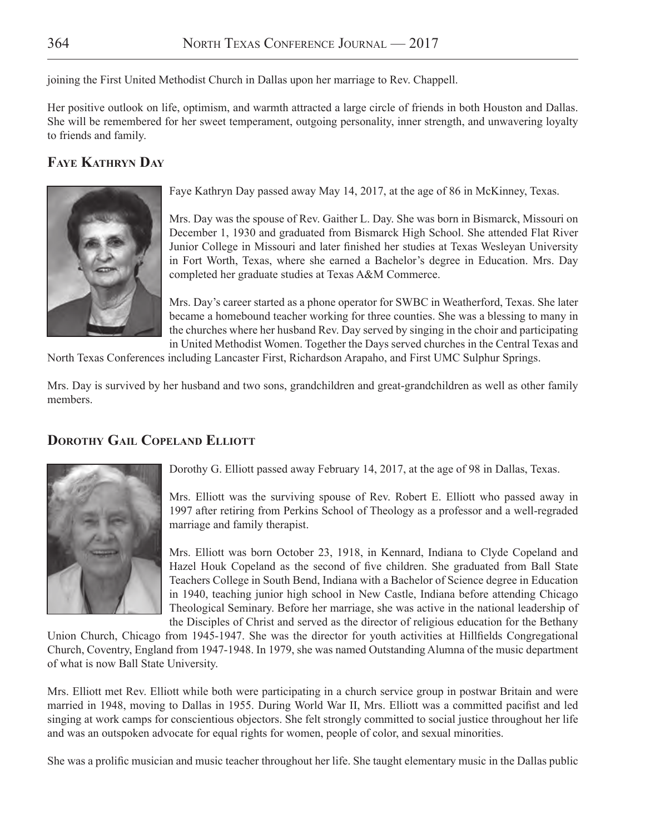joining the First United Methodist Church in Dallas upon her marriage to Rev. Chappell.

Her positive outlook on life, optimism, and warmth attracted a large circle of friends in both Houston and Dallas. She will be remembered for her sweet temperament, outgoing personality, inner strength, and unwavering loyalty to friends and family.

### **Faye Kathryn Day**



Faye Kathryn Day passed away May 14, 2017, at the age of 86 in McKinney, Texas.

Mrs. Day was the spouse of Rev. Gaither L. Day. She was born in Bismarck, Missouri on December 1, 1930 and graduated from Bismarck High School. She attended Flat River Junior College in Missouri and later finished her studies at Texas Wesleyan University in Fort Worth, Texas, where she earned a Bachelor's degree in Education. Mrs. Day completed her graduate studies at Texas A&M Commerce.

Mrs. Day's career started as a phone operator for SWBC in Weatherford, Texas. She later became a homebound teacher working for three counties. She was a blessing to many in the churches where her husband Rev. Day served by singing in the choir and participating in United Methodist Women. Together the Days served churches in the Central Texas and

North Texas Conferences including Lancaster First, Richardson Arapaho, and First UMC Sulphur Springs.

Mrs. Day is survived by her husband and two sons, grandchildren and great-grandchildren as well as other family members.

#### **Dorothy Gail Copeland Elliott**



Dorothy G. Elliott passed away February 14, 2017, at the age of 98 in Dallas, Texas.

Mrs. Elliott was the surviving spouse of Rev. Robert E. Elliott who passed away in 1997 after retiring from Perkins School of Theology as a professor and a well-regraded marriage and family therapist.

Mrs. Elliott was born October 23, 1918, in Kennard, Indiana to Clyde Copeland and Hazel Houk Copeland as the second of five children. She graduated from Ball State Teachers College in South Bend, Indiana with a Bachelor of Science degree in Education in 1940, teaching junior high school in New Castle, Indiana before attending Chicago Theological Seminary. Before her marriage, she was active in the national leadership of the Disciples of Christ and served as the director of religious education for the Bethany

Union Church, Chicago from 1945-1947. She was the director for youth activities at Hillfields Congregational Church, Coventry, England from 1947-1948. In 1979, she was named Outstanding Alumna of the music department of what is now Ball State University.

Mrs. Elliott met Rev. Elliott while both were participating in a church service group in postwar Britain and were married in 1948, moving to Dallas in 1955. During World War II, Mrs. Elliott was a committed pacifist and led singing at work camps for conscientious objectors. She felt strongly committed to social justice throughout her life and was an outspoken advocate for equal rights for women, people of color, and sexual minorities.

She was a prolific musician and music teacher throughout her life. She taught elementary music in the Dallas public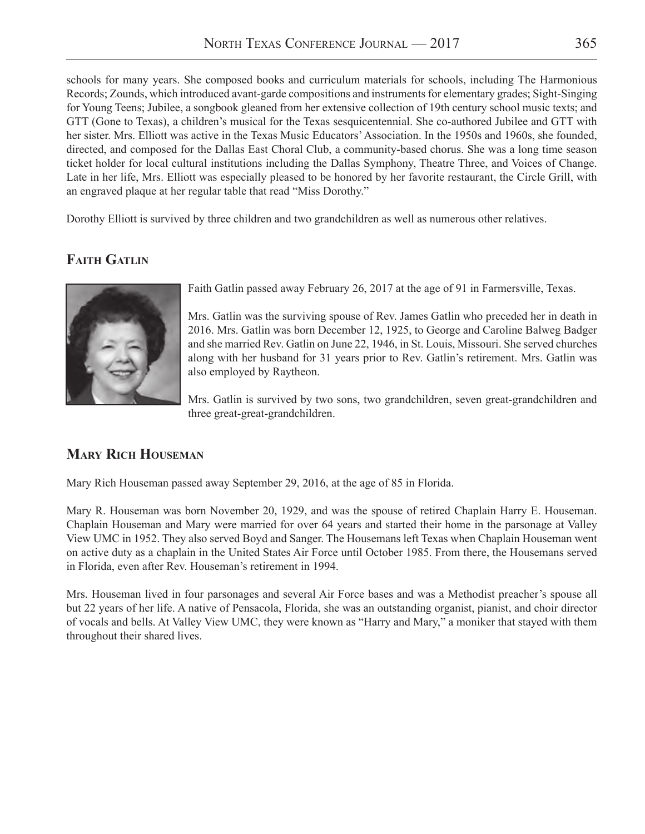schools for many years. She composed books and curriculum materials for schools, including The Harmonious Records; Zounds, which introduced avant-garde compositions and instruments for elementary grades; Sight-Singing for Young Teens; Jubilee, a songbook gleaned from her extensive collection of 19th century school music texts; and GTT (Gone to Texas), a children's musical for the Texas sesquicentennial. She co-authored Jubilee and GTT with her sister. Mrs. Elliott was active in the Texas Music Educators' Association. In the 1950s and 1960s, she founded, directed, and composed for the Dallas East Choral Club, a community-based chorus. She was a long time season ticket holder for local cultural institutions including the Dallas Symphony, Theatre Three, and Voices of Change. Late in her life, Mrs. Elliott was especially pleased to be honored by her favorite restaurant, the Circle Grill, with an engraved plaque at her regular table that read "Miss Dorothy."

Dorothy Elliott is survived by three children and two grandchildren as well as numerous other relatives.

## **Faith Gatlin**



Faith Gatlin passed away February 26, 2017 at the age of 91 in Farmersville, Texas.

Mrs. Gatlin was the surviving spouse of Rev. James Gatlin who preceded her in death in 2016. Mrs. Gatlin was born December 12, 1925, to George and Caroline Balweg Badger and she married Rev. Gatlin on June 22, 1946, in St. Louis, Missouri. She served churches along with her husband for 31 years prior to Rev. Gatlin's retirement. Mrs. Gatlin was also employed by Raytheon.

Mrs. Gatlin is survived by two sons, two grandchildren, seven great-grandchildren and three great-great-grandchildren.

#### **Mary Rich Houseman**

Mary Rich Houseman passed away September 29, 2016, at the age of 85 in Florida.

Mary R. Houseman was born November 20, 1929, and was the spouse of retired Chaplain Harry E. Houseman. Chaplain Houseman and Mary were married for over 64 years and started their home in the parsonage at Valley View UMC in 1952. They also served Boyd and Sanger. The Housemans left Texas when Chaplain Houseman went on active duty as a chaplain in the United States Air Force until October 1985. From there, the Housemans served in Florida, even after Rev. Houseman's retirement in 1994.

Mrs. Houseman lived in four parsonages and several Air Force bases and was a Methodist preacher's spouse all but 22 years of her life. A native of Pensacola, Florida, she was an outstanding organist, pianist, and choir director of vocals and bells. At Valley View UMC, they were known as "Harry and Mary," a moniker that stayed with them throughout their shared lives.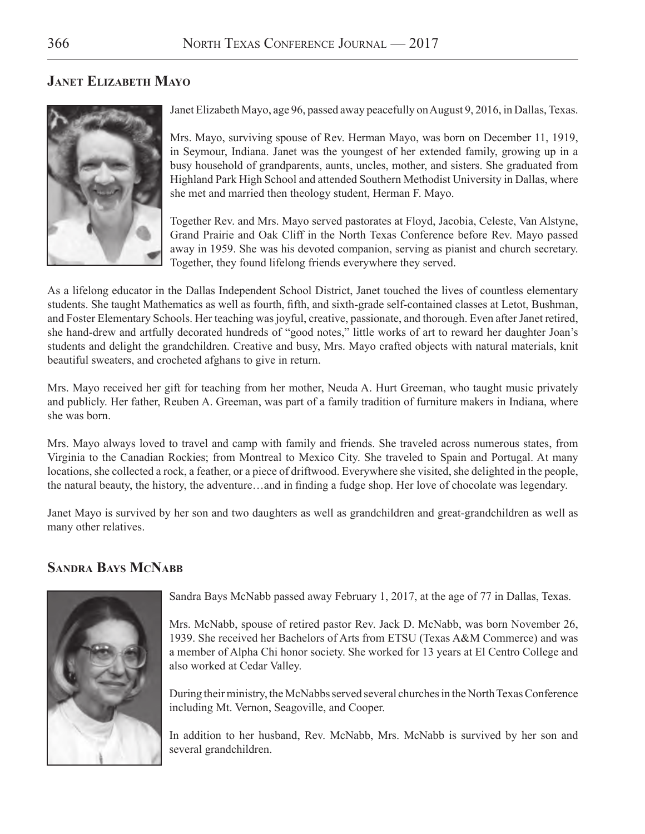#### **Janet Elizabeth Mayo**



Janet Elizabeth Mayo, age 96, passed away peacefully on August 9, 2016, in Dallas, Texas.

Mrs. Mayo, surviving spouse of Rev. Herman Mayo, was born on December 11, 1919, in Seymour, Indiana. Janet was the youngest of her extended family, growing up in a busy household of grandparents, aunts, uncles, mother, and sisters. She graduated from Highland Park High School and attended Southern Methodist University in Dallas, where she met and married then theology student, Herman F. Mayo.

Together Rev. and Mrs. Mayo served pastorates at Floyd, Jacobia, Celeste, Van Alstyne, Grand Prairie and Oak Cliff in the North Texas Conference before Rev. Mayo passed away in 1959. She was his devoted companion, serving as pianist and church secretary. Together, they found lifelong friends everywhere they served.

As a lifelong educator in the Dallas Independent School District, Janet touched the lives of countless elementary students. She taught Mathematics as well as fourth, fifth, and sixth-grade self-contained classes at Letot, Bushman, and Foster Elementary Schools. Her teaching was joyful, creative, passionate, and thorough. Even after Janet retired, she hand-drew and artfully decorated hundreds of "good notes," little works of art to reward her daughter Joan's students and delight the grandchildren. Creative and busy, Mrs. Mayo crafted objects with natural materials, knit beautiful sweaters, and crocheted afghans to give in return.

Mrs. Mayo received her gift for teaching from her mother, Neuda A. Hurt Greeman, who taught music privately and publicly. Her father, Reuben A. Greeman, was part of a family tradition of furniture makers in Indiana, where she was born.

Mrs. Mayo always loved to travel and camp with family and friends. She traveled across numerous states, from Virginia to the Canadian Rockies; from Montreal to Mexico City. She traveled to Spain and Portugal. At many locations, she collected a rock, a feather, or a piece of driftwood. Everywhere she visited, she delighted in the people, the natural beauty, the history, the adventure…and in finding a fudge shop. Her love of chocolate was legendary.

Janet Mayo is survived by her son and two daughters as well as grandchildren and great-grandchildren as well as many other relatives.

#### **Sandra Bays McNabb**



Sandra Bays McNabb passed away February 1, 2017, at the age of 77 in Dallas, Texas.

Mrs. McNabb, spouse of retired pastor Rev. Jack D. McNabb, was born November 26, 1939. She received her Bachelors of Arts from ETSU (Texas A&M Commerce) and was a member of Alpha Chi honor society. She worked for 13 years at El Centro College and also worked at Cedar Valley.

During their ministry, the McNabbs served several churches in the North Texas Conference including Mt. Vernon, Seagoville, and Cooper.

In addition to her husband, Rev. McNabb, Mrs. McNabb is survived by her son and several grandchildren.